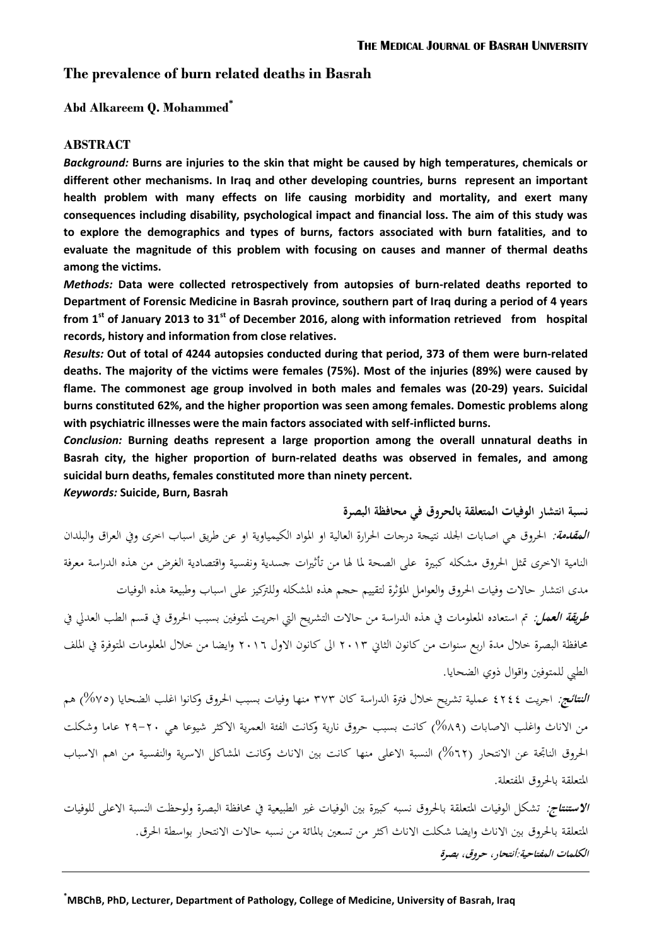# **The prevalence of burn related deaths in Basrah**

**Abd Alkareem Q. Mohammed\***

### **ABSTRACT**

*Background:* **Burns are injuries to the skin that might be caused by high temperatures, chemicals or different other mechanisms. In Iraq and other developing countries, burns represent an important health problem with many effects on life causing morbidity and mortality, and exert many consequences including disability, psychological impact and financial loss. The aim of this study was to explore the demographics and types of burns, factors associated with burn fatalities, and to evaluate the magnitude of this problem with focusing on causes and manner of thermal deaths among the victims.**

*Methods:* **Data were collected retrospectively from autopsies of burn-related deaths reported to Department of Forensic Medicine in Basrah province, southern part of Iraq during a period of 4 years from 1st of January 2013 to 31st of December 2016, along with information retrieved from hospital records, history and information from close relatives.**

*Results:* **Out of total of 4244 autopsies conducted during that period, 373 of them were burn-related deaths. The majority of the victims were females (75%). Most of the injuries (89%) were caused by flame. The commonest age group involved in both males and females was (20-29) years. Suicidal burns constituted 62%, and the higher proportion was seen among females. Domestic problems along with psychiatric illnesses were the main factors associated with self-inflicted burns.**

*Conclusion:* **Burning deaths represent a large proportion among the overall unnatural deaths in Basrah city, the higher proportion of burn-related deaths was observed in females, and among suicidal burn deaths, females constituted more than ninety percent.**

*Keywords:* **Suicide, Burn, Basrah**

**نسبة انتشار الوفيات المتعلقة بالحروق في محافظة البصرة**

**ا***لمقدمة:* **الحروق هي اصابات الجلد نتيجة درجات الحرارة العالية او المواد الكيمياوية او عن طريق اسباب احرى وفي العراق والبلدان** النامية الاخرى تمثل الحروق مشكله كبيرة على الصحة لما لها من تأثيرات جسدية ونفسية واقتصادية الغرض من هذه الدراسة معرفة مدى انتشار حاالت وفيات احلروق والعوامل املؤثرة لتقييم حجم ىذه املشكلو وللرتكيز على اسباب وطبيعة ىذه الوفيات **طريقة العمل:** مت استعاده املعلومات يف ىذه الدراسة من حاالت التشريح اليت اجريت ملتوفني بسبب احلروق يف قسم الطب العديل يف حمافظة البصرة خالل مدة اربع سنوات من كانون الثاين 3102 اىل كانون االول 3102 وايضا من خالل املعلومات املتوفرة يف امللف الطيب للمتوفني واقوال ذوي الضحايا.

**النتائج:** اجريت 4344 عملية تشريح خالل فرتة الدراسة كان 272 منها وفيات بسبب احلروق وكانوا اغلب الضحايا )%77( ىم من الاناث واغلب الاصابات (٨٩%) كانت بسبب حروق نارية وكانت الفئة العمرية الاكثر شيوعا هي ٢٠-٢٩ عاما وشكلت الحروق الناتجة عن الانتحار (٦٢%) النسبة الاعلى منها كانت بين الاناث وكانت المشاكل الاسرية والنفسية من اهم الاسباب املتعلقة باحلروق املفتعلة.

**الاستنتاج:** تشكل الوفيات المتعلقة بالحروق نسبه كبيرة بين الوفيات غير الطبيعية في محافظة البصرة ولوحظت النسبة الاعلى للوفيات المتعلقة بالحروق بين الاناث وايضا شكلت الاناث اكثر من تسعين بالمائة من نسبه حالات الانتحار بواسطة الحرق. **الكلمات المفتاحية:أنتحار، حروق، بصرة**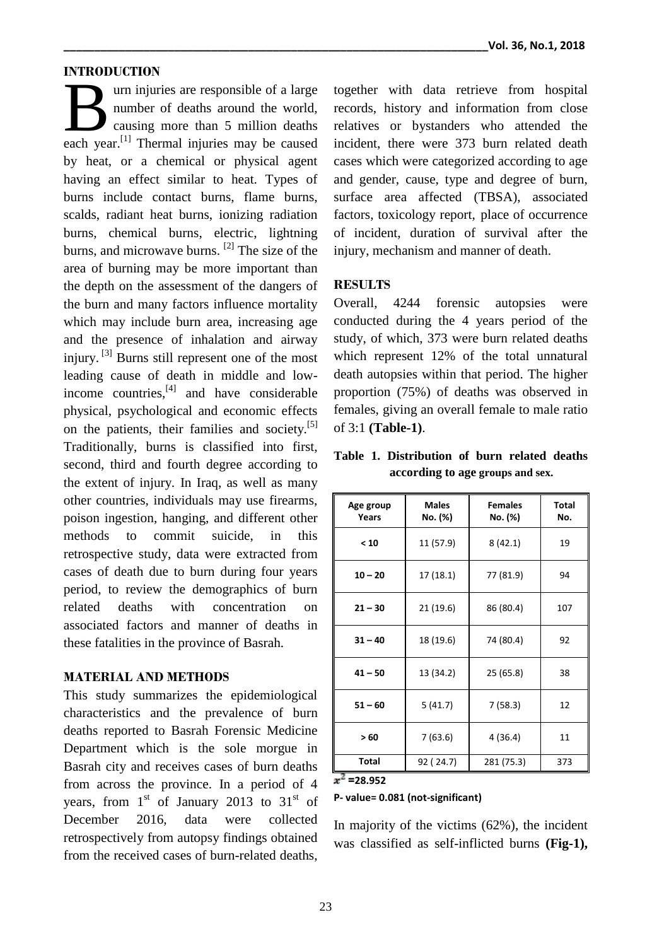### **INTRODUCTION**

urn injuries are responsible of a large number of deaths around the world, causing more than 5 million deaths urn injuries are responsible of a large<br>
number of deaths around the world,<br>
causing more than 5 million deaths<br>
each year.<sup>[1]</sup> Thermal injuries may be caused by heat, or a chemical or physical agent having an effect similar to heat. Types of burns include contact burns, flame burns, scalds, radiant heat burns, ionizing radiation burns, chemical burns, electric, lightning burns, and microwave burns. <sup>[2]</sup> The size of the area of burning may be more important than the depth on the assessment of the dangers of the burn and many factors influence mortality which may include burn area, increasing age and the presence of inhalation and airway injury.<sup>[3]</sup> Burns still represent one of the most leading cause of death in middle and lowincome countries,<sup>[4]</sup> and have considerable physical, psychological and economic effects on the patients, their families and society.<sup>[5]</sup> Traditionally, burns is classified into first, second, third and fourth degree according to the extent of injury. In Iraq, as well as many other countries, individuals may use firearms, poison ingestion, hanging, and different other methods to commit suicide, in this retrospective study, data were extracted from cases of death due to burn during four years period, to review the demographics of burn related deaths with concentration on associated factors and manner of deaths in these fatalities in the province of Basrah.

#### **MATERIAL AND METHODS**

This study summarizes the epidemiological characteristics and the prevalence of burn deaths reported to Basrah Forensic Medicine Department which is the sole morgue in Basrah city and receives cases of burn deaths from across the province. In a period of 4 years, from  $1<sup>st</sup>$  of January 2013 to 31 $<sup>st</sup>$  of</sup> December 2016, data were collected retrospectively from autopsy findings obtained from the received cases of burn-related deaths,

together with data retrieve from hospital records, history and information from close relatives or bystanders who attended the incident, there were 373 burn related death cases which were categorized according to age and gender, cause, type and degree of burn, surface area affected (TBSA), associated factors, toxicology report, place of occurrence of incident, duration of survival after the injury, mechanism and manner of death.

### **RESULTS**

Overall, 4244 forensic autopsies were conducted during the 4 years period of the study, of which, 373 were burn related deaths which represent 12% of the total unnatural death autopsies within that period. The higher proportion (75%) of deaths was observed in females, giving an overall female to male ratio of 3:1 **(Table-1)**.

**Table 1. Distribution of burn related deaths according to age groups and sex.**

| Age group<br>Years | <b>Males</b><br>No. (%) | <b>Females</b><br>No. (%) | Total<br>No. |
|--------------------|-------------------------|---------------------------|--------------|
| < 10               | 11 (57.9)               | 8(42.1)                   | 19           |
| $10 - 20$          | 17 (18.1)               | 77 (81.9)                 | 94           |
| $21 - 30$          | 21 (19.6)               | 86 (80.4)                 | 107          |
| $31 - 40$          | 18 (19.6)               | 74 (80.4)                 | 92           |
| $41 - 50$          | 13 (34.2)               | 25 (65.8)                 | 38           |
| $51 - 60$          | 5(41.7)                 | 7(58.3)<br>12             |              |
| >60                | 7(63.6)                 | 4(36.4)                   | 11           |
| Total              | 92 (24.7)               | 281 (75.3)                | 373          |

## **=28.952**

#### **P- value= 0.081 (not-significant)**

In majority of the victims (62%), the incident was classified as self-inflicted burns **(Fig-1),**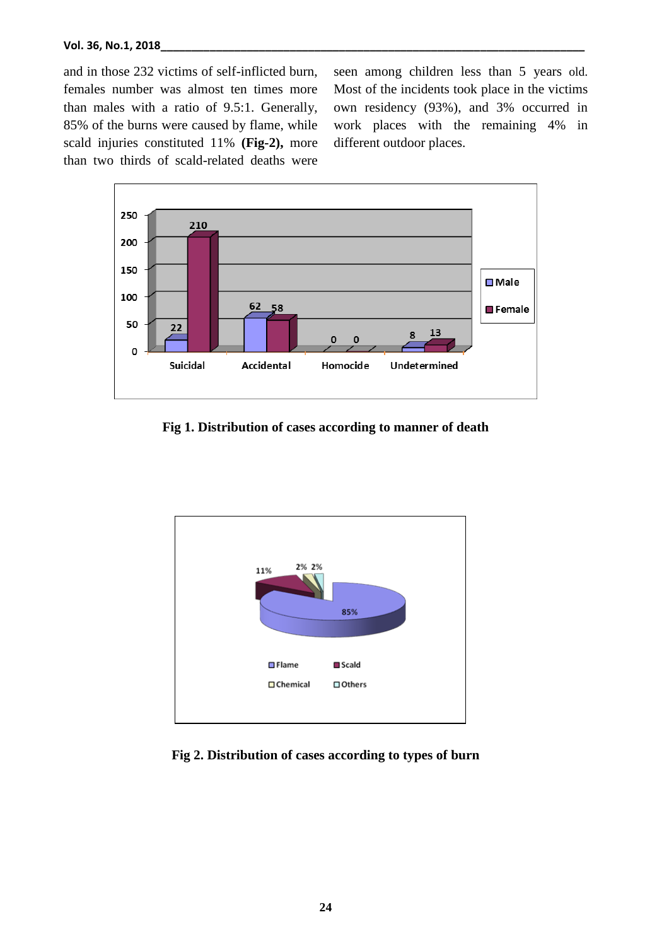and in those 232 victims of self-inflicted burn, females number was almost ten times more than males with a ratio of 9.5:1. Generally, 85% of the burns were caused by flame, while scald injuries constituted 11% **(Fig-2),** more than two thirds of scald-related deaths were

seen among children less than 5 years old. Most of the incidents took place in the victims own residency (93%), and 3% occurred in work places with the remaining 4% in different outdoor places.



**Fig 1. Distribution of cases according to manner of death**



**Fig 2. Distribution of cases according to types of burn**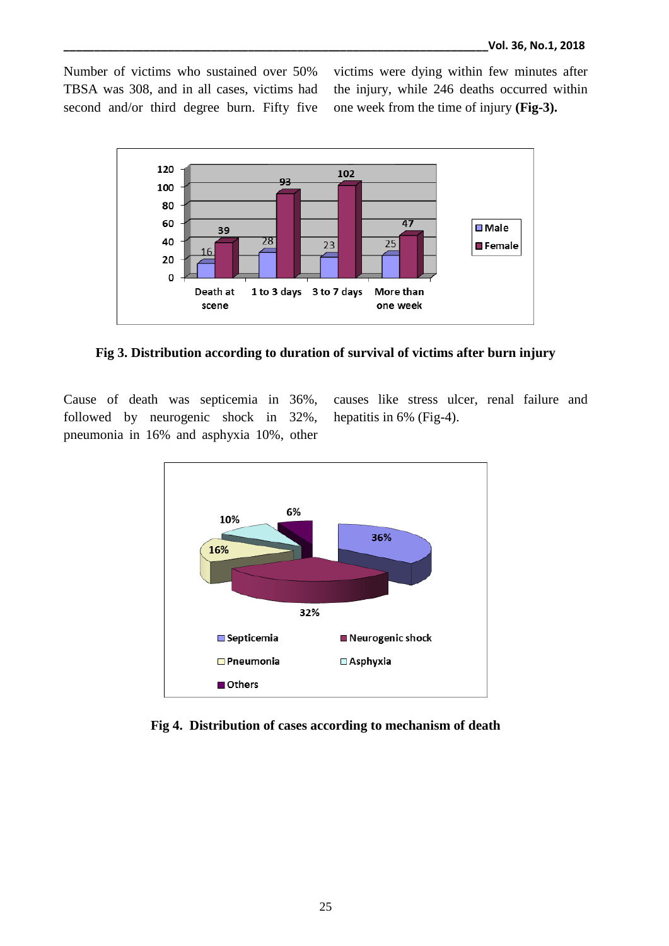Number of victims who sustained over 50% TBSA was 308, and in all cases, victims had second and/or third degree burn. Fifty five

victims were dying within few minutes after the injury, while 246 deaths occurred within one week from the time of injury **(Fig-3).**



**Fig 3. Distribution according to duration of survival of victims after burn injury**

Cause of death was septicemia in 36%, followed by neurogenic shock in 32%, pneumonia in 16% and asphyxia 10%, other

causes like stress ulcer, renal failure and hepatitis in 6% (Fig-4).



**Fig 4. Distribution of cases according to mechanism of death**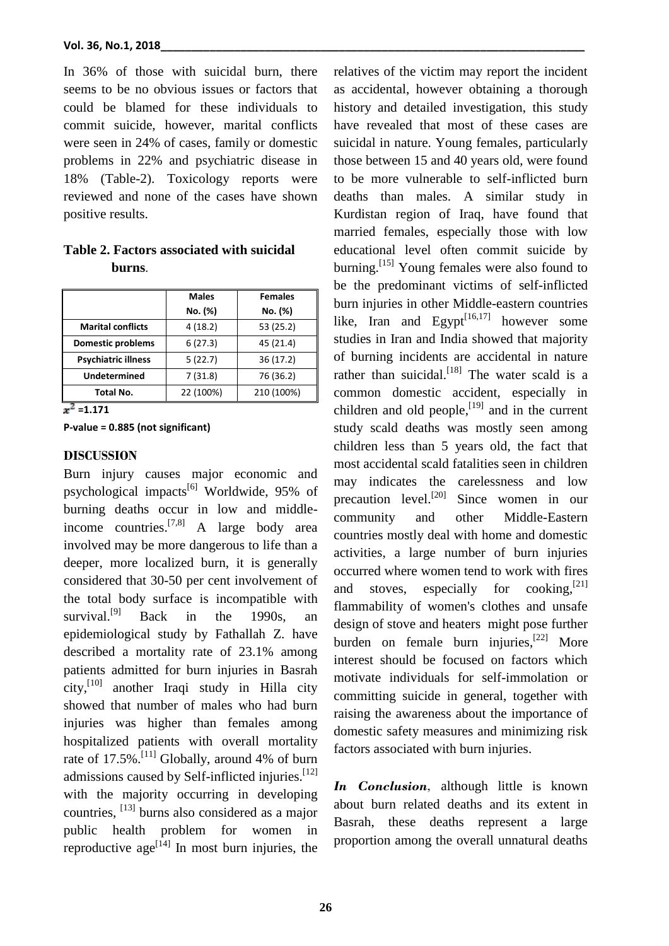In 36% of those with suicidal burn, there seems to be no obvious issues or factors that could be blamed for these individuals to commit suicide, however, marital conflicts were seen in 24% of cases, family or domestic problems in 22% and psychiatric disease in 18% (Table-2). Toxicology reports were reviewed and none of the cases have shown positive results.

**Table 2. Factors associated with suicidal burns**.

|                            | <b>Males</b> | <b>Females</b> |
|----------------------------|--------------|----------------|
|                            | No. (%)      | No. (%)        |
| <b>Marital conflicts</b>   | 4(18.2)      | 53 (25.2)      |
| <b>Domestic problems</b>   | 6(27.3)      | 45 (21.4)      |
| <b>Psychiatric illness</b> | 5(22.7)      | 36(17.2)       |
| <b>Undetermined</b>        | 7(31.8)      | 76 (36.2)      |
| Total No.                  | 22 (100%)    | 210 (100%)     |
|                            |              |                |

 $x^2 = 1.171$ 

**P-value = 0.885 (not significant)**

#### **DISCUSSION**

Burn injury causes major economic and psychological impacts<sup>[6]</sup> Worldwide, 95% of burning deaths occur in low and middleincome countries. [7,8] A large body area involved may be more dangerous to life than a deeper, more localized burn, it is generally considered that 30-50 per cent involvement of the total body surface is incompatible with survival.<sup>[9]</sup> Back in the 1990s, an epidemiological study by Fathallah Z. have described a mortality rate of 23.1% among patients admitted for burn injuries in Basrah city, [10] another Iraqi study in Hilla city showed that number of males who had burn injuries was higher than females among hospitalized patients with overall mortality rate of  $17.5\%$ .<sup>[11]</sup> Globally, around 4% of burn admissions caused by Self-inflicted injuries.<sup>[12]</sup> with the majority occurring in developing countries, [13] burns also considered as a major public health problem for women in reproductive  $age^{[14]}$  In most burn injuries, the

relatives of the victim may report the incident as accidental, however obtaining a thorough history and detailed investigation, this study have revealed that most of these cases are suicidal in nature. Young females, particularly those between 15 and 40 years old, were found to be more vulnerable to self-inflicted burn deaths than males. A similar study in Kurdistan region of Iraq, have found that married females, especially those with low educational level often commit suicide by burning.<sup>[15]</sup> Young females were also found to be the predominant victims of self-inflicted burn injuries in other Middle-eastern countries like, Iran and Egypt $\left[16,17\right]$  however some studies in Iran and India showed that majority of burning incidents are accidental in nature rather than suicidal.<sup>[18]</sup> The water scald is a common domestic accident, especially in children and old people,  $[19]$  and in the current study scald deaths was mostly seen among children less than 5 years old, the fact that most accidental scald fatalities seen in children may indicates the carelessness and low precaution level.<sup>[20]</sup> Since women in our community and other Middle-Eastern countries mostly deal with home and domestic activities, a large number of burn injuries occurred where women tend to work with fires and stoves, especially for cooking, $^{[21]}$ flammability of women's clothes and unsafe design of stove and heaters might pose further burden on female burn injuries, $^{[22]}$  More interest should be focused on factors which motivate individuals for self-immolation or committing suicide in general, together with raising the awareness about the importance of domestic safety measures and minimizing risk factors associated with burn injuries.

*In Conclusion,* although little is known about burn related deaths and its extent in Basrah, these deaths represent a large proportion among the overall unnatural deaths